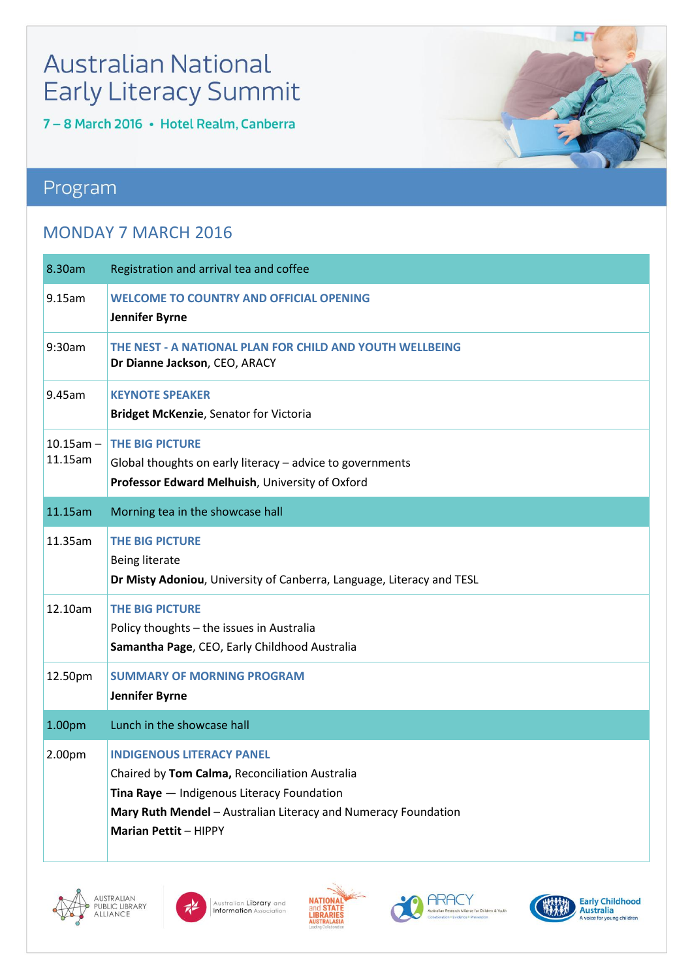## **Australian National Early Literacy Summit**

7 - 8 March 2016 · Hotel Realm, Canberra

### Program

#### MONDAY 7 MARCH 2016

| 8.30am                    | Registration and arrival tea and coffee                                                                                                                                                                                            |
|---------------------------|------------------------------------------------------------------------------------------------------------------------------------------------------------------------------------------------------------------------------------|
| 9.15am                    | <b>WELCOME TO COUNTRY AND OFFICIAL OPENING</b><br><b>Jennifer Byrne</b>                                                                                                                                                            |
| 9:30am                    | THE NEST - A NATIONAL PLAN FOR CHILD AND YOUTH WELLBEING<br>Dr Dianne Jackson, CEO, ARACY                                                                                                                                          |
| 9.45am                    | <b>KEYNOTE SPEAKER</b><br><b>Bridget McKenzie, Senator for Victoria</b>                                                                                                                                                            |
| $10.15$ am $-$<br>11.15am | <b>THE BIG PICTURE</b><br>Global thoughts on early literacy - advice to governments<br>Professor Edward Melhuish, University of Oxford                                                                                             |
| 11.15am                   | Morning tea in the showcase hall                                                                                                                                                                                                   |
| 11.35am                   | <b>THE BIG PICTURE</b><br><b>Being literate</b><br>Dr Misty Adoniou, University of Canberra, Language, Literacy and TESL                                                                                                           |
| 12.10am                   | <b>THE BIG PICTURE</b><br>Policy thoughts - the issues in Australia<br>Samantha Page, CEO, Early Childhood Australia                                                                                                               |
| 12.50pm                   | <b>SUMMARY OF MORNING PROGRAM</b><br>Jennifer Byrne                                                                                                                                                                                |
| 1.00pm                    | Lunch in the showcase hall                                                                                                                                                                                                         |
| 2.00pm                    | <b>INDIGENOUS LITERACY PANEL</b><br>Chaired by Tom Calma, Reconciliation Australia<br>Tina Raye - Indigenous Literacy Foundation<br>Mary Ruth Mendel - Australian Literacy and Numeracy Foundation<br><b>Marian Pettit - HIPPY</b> |











**For**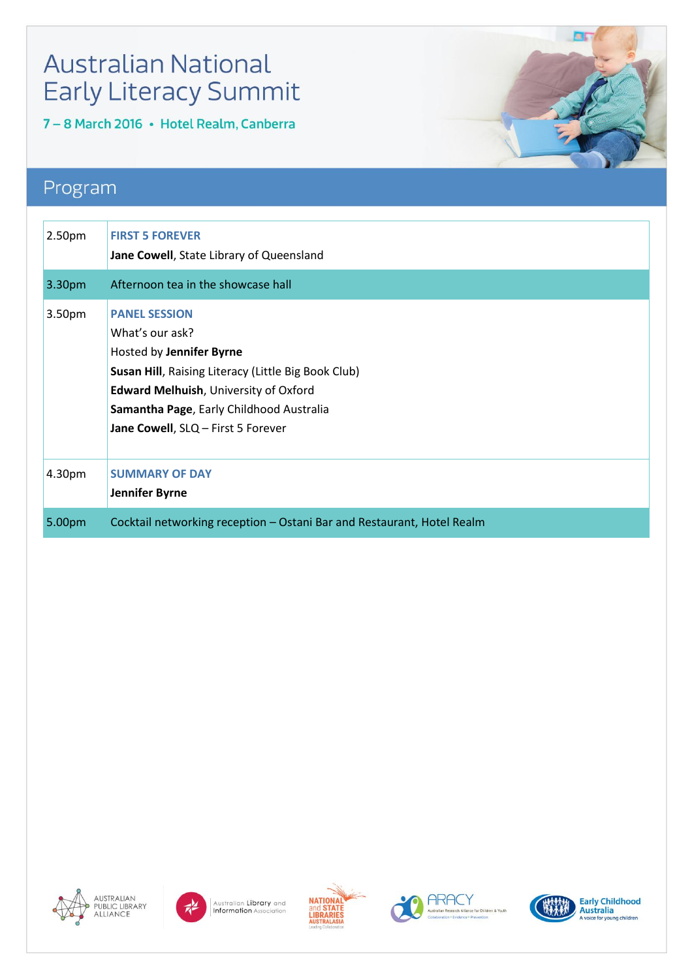# **Australian National Early Literacy Summit**

7 - 8 March 2016 · Hotel Realm, Canberra

### Program

| 2.50pm | <b>FIRST 5 FOREVER</b><br>Jane Cowell, State Library of Queensland                                                                                                                                                                                                  |
|--------|---------------------------------------------------------------------------------------------------------------------------------------------------------------------------------------------------------------------------------------------------------------------|
| 3.30pm | Afternoon tea in the showcase hall                                                                                                                                                                                                                                  |
| 3.50pm | <b>PANEL SESSION</b><br>What's our ask?<br>Hosted by Jennifer Byrne<br><b>Susan Hill, Raising Literacy (Little Big Book Club)</b><br><b>Edward Melhuish, University of Oxford</b><br>Samantha Page, Early Childhood Australia<br>Jane Cowell, SLQ - First 5 Forever |
| 4.30pm | <b>SUMMARY OF DAY</b><br>Jennifer Byrne                                                                                                                                                                                                                             |
| 5.00pm | Cocktail networking reception - Ostani Bar and Restaurant, Hotel Realm                                                                                                                                                                                              |













**For** 

Early Childhood<br>Australia<br>A voice for young children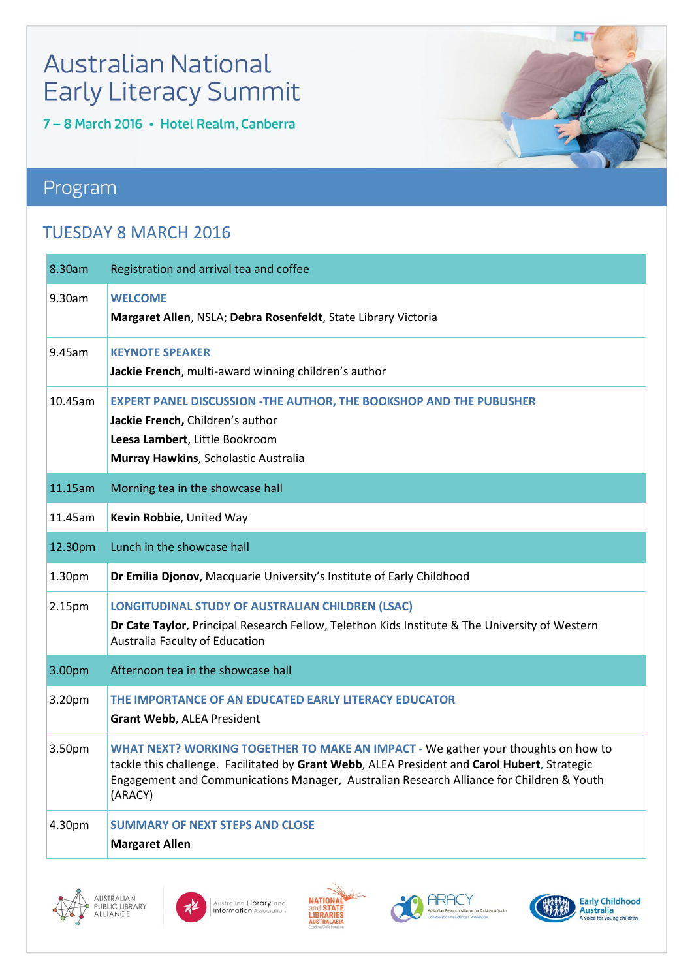# **Australian National Early Literacy Summit**

7 - 8 March 2016 · Hotel Realm, Canberra

### Program

#### **TUESDAY 8 MARCH 2016**

| 8.30am  | Registration and arrival tea and coffee                                                                                                                                                                                                                                                  |
|---------|------------------------------------------------------------------------------------------------------------------------------------------------------------------------------------------------------------------------------------------------------------------------------------------|
| 9.30am  | <b>WELCOME</b><br>Margaret Allen, NSLA; Debra Rosenfeldt, State Library Victoria                                                                                                                                                                                                         |
| 9.45am  | <b>KEYNOTE SPEAKER</b><br>Jackie French, multi-award winning children's author                                                                                                                                                                                                           |
| 10.45am | <b>EXPERT PANEL DISCUSSION -THE AUTHOR, THE BOOKSHOP AND THE PUBLISHER</b><br>Jackie French, Children's author<br>Leesa Lambert, Little Bookroom<br>Murray Hawkins, Scholastic Australia                                                                                                 |
| 11.15am | Morning tea in the showcase hall                                                                                                                                                                                                                                                         |
| 11.45am | Kevin Robbie, United Way                                                                                                                                                                                                                                                                 |
| 12.30pm | Lunch in the showcase hall                                                                                                                                                                                                                                                               |
| 1.30pm  | Dr Emilia Djonov, Macquarie University's Institute of Early Childhood                                                                                                                                                                                                                    |
| 2.15pm  | LONGITUDINAL STUDY OF AUSTRALIAN CHILDREN (LSAC)<br>Dr Cate Taylor, Principal Research Fellow, Telethon Kids Institute & The University of Western<br>Australia Faculty of Education                                                                                                     |
| 3.00pm  | Afternoon tea in the showcase hall                                                                                                                                                                                                                                                       |
| 3.20pm  | THE IMPORTANCE OF AN EDUCATED EARLY LITERACY EDUCATOR<br><b>Grant Webb, ALEA President</b>                                                                                                                                                                                               |
| 3.50pm  | WHAT NEXT? WORKING TOGETHER TO MAKE AN IMPACT - We gather your thoughts on how to<br>tackle this challenge. Facilitated by Grant Webb, ALEA President and Carol Hubert, Strategic<br>Engagement and Communications Manager, Australian Research Alliance for Children & Youth<br>(ARACY) |
| 4.30pm  | <b>SUMMARY OF NEXT STEPS AND CLOSE</b><br><b>Margaret Allen</b>                                                                                                                                                                                                                          |











**For**